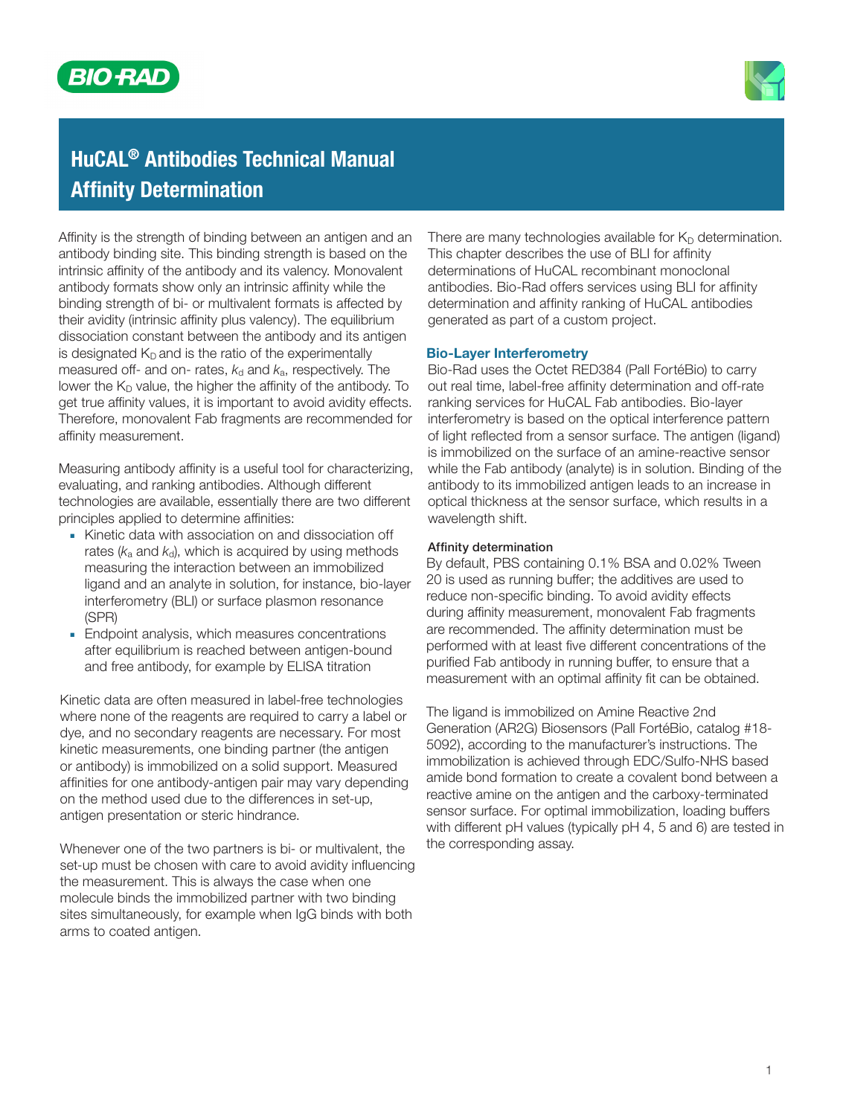



# HuCAL® Antibodies Technical Manual Affinity Determination

Affinity is the strength of binding between an antigen and an antibody binding site. This binding strength is based on the intrinsic affinity of the antibody and its valency. Monovalent antibody formats show only an intrinsic affinity while the binding strength of bi- or multivalent formats is affected by their avidity (intrinsic affinity plus valency). The equilibrium dissociation constant between the antibody and its antigen is designated  $K<sub>D</sub>$  and is the ratio of the experimentally measured off- and on- rates,  $k_d$  and  $k_a$ , respectively. The lower the  $K_D$  value, the higher the affinity of the antibody. To get true affinity values, it is important to avoid avidity effects. Therefore, monovalent Fab fragments are recommended for affinity measurement.

Measuring antibody affinity is a useful tool for characterizing, evaluating, and ranking antibodies. Although different technologies are available, essentially there are two different principles applied to determine affinities:

- **■** Kinetic data with association on and dissociation off rates  $(k_a$  and  $k_d$ ), which is acquired by using methods measuring the interaction between an immobilized ligand and an analyte in solution, for instance, bio-layer interferometry (BLI) or surface plasmon resonance (SPR)
- **■** Endpoint analysis, which measures concentrations after equilibrium is reached between antigen-bound and free antibody, for example by ELISA titration

Kinetic data are often measured in label-free technologies where none of the reagents are required to carry a label or dye, and no secondary reagents are necessary. For most kinetic measurements, one binding partner (the antigen or antibody) is immobilized on a solid support. Measured affinities for one antibody-antigen pair may vary depending on the method used due to the differences in set-up, antigen presentation or steric hindrance.

Whenever one of the two partners is bi- or multivalent, the set-up must be chosen with care to avoid avidity influencing the measurement. This is always the case when one molecule binds the immobilized partner with two binding sites simultaneously, for example when IgG binds with both arms to coated antigen.

There are many technologies available for  $K_D$  determination. This chapter describes the use of BLI for affinity determinations of HuCAL recombinant monoclonal antibodies. Bio-Rad offers services using BLI for affinity determination and affinity ranking of HuCAL antibodies generated as part of a custom project.

### Bio-Layer Interferometry

Bio-Rad uses the Octet RED384 (Pall FortéBio) to carry out real time, label-free affinity determination and off-rate ranking services for HuCAL Fab antibodies. Bio-layer interferometry is based on the optical interference pattern of light reflected from a sensor surface. The antigen (ligand) is immobilized on the surface of an amine-reactive sensor while the Fab antibody (analyte) is in solution. Binding of the antibody to its immobilized antigen leads to an increase in optical thickness at the sensor surface, which results in a wavelength shift.

#### Affinity determination

By default, PBS containing 0.1% BSA and 0.02% Tween 20 is used as running buffer; the additives are used to reduce non-specific binding. To avoid avidity effects during affinity measurement, monovalent Fab fragments are recommended. The affinity determination must be performed with at least five different concentrations of the purified Fab antibody in running buffer, to ensure that a measurement with an optimal affinity fit can be obtained.

The ligand is immobilized on Amine Reactive 2nd Generation (AR2G) Biosensors (Pall FortéBio, catalog #18- 5092), according to the manufacturer's instructions. The immobilization is achieved through EDC/Sulfo-NHS based amide bond formation to create a covalent bond between a reactive amine on the antigen and the carboxy-terminated sensor surface. For optimal immobilization, loading buffers with different pH values (typically pH 4, 5 and 6) are tested in the corresponding assay.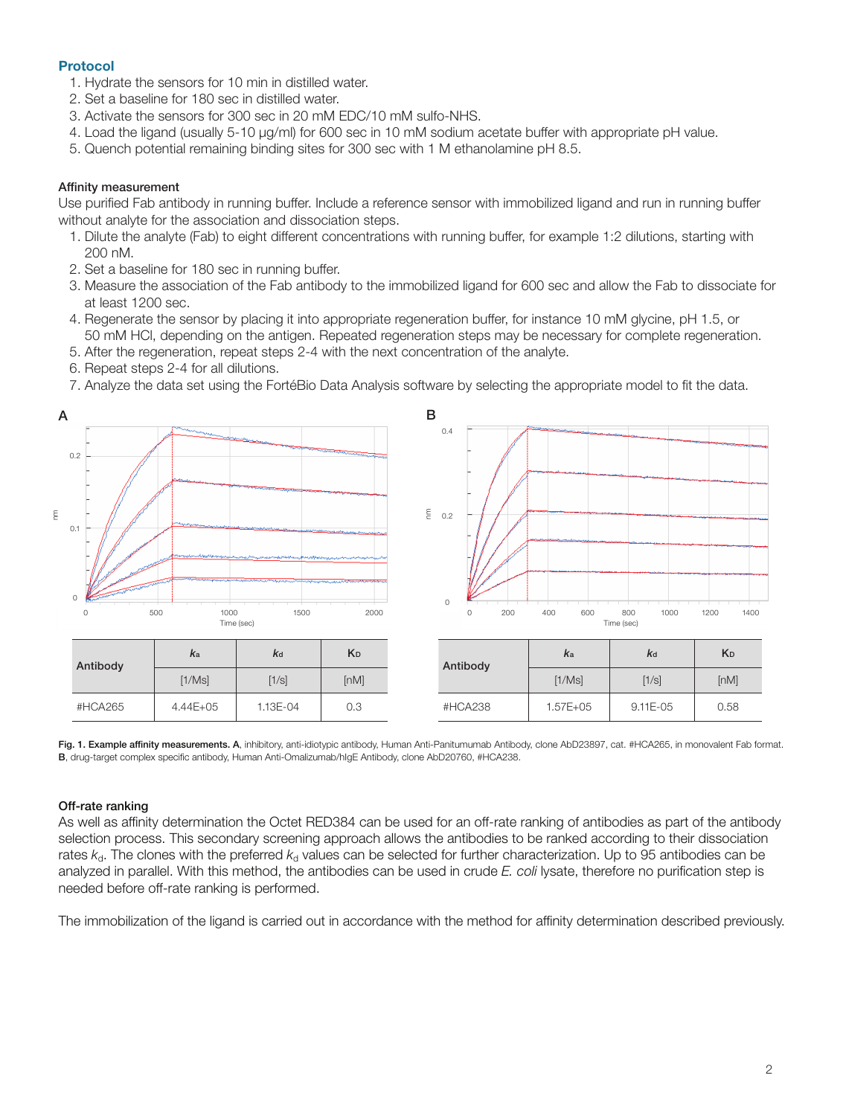## Protocol

- 1. Hydrate the sensors for 10 min in distilled water.
- 2. Set a baseline for 180 sec in distilled water.
- 3. Activate the sensors for 300 sec in 20 mM EDC/10 mM sulfo-NHS.
- 4. Load the ligand (usually 5-10 µg/ml) for 600 sec in 10 mM sodium acetate buffer with appropriate pH value.
- 5. Quench potential remaining binding sites for 300 sec with 1 M ethanolamine pH 8.5.

#### Affinity measurement

Use purified Fab antibody in running buffer. Include a reference sensor with immobilized ligand and run in running buffer without analyte for the association and dissociation steps.

- 1. Dilute the analyte (Fab) to eight different concentrations with running buffer, for example 1:2 dilutions, starting with 200 nM.
- 2. Set a baseline for 180 sec in running buffer.
- 3. Measure the association of the Fab antibody to the immobilized ligand for 600 sec and allow the Fab to dissociate for at least 1200 sec.
- 4. Regenerate the sensor by placing it into appropriate regeneration buffer, for instance 10 mM glycine, pH 1.5, or 50 mM HCl, depending on the antigen. Repeated regeneration steps may be necessary for complete regeneration.
- 5. After the regeneration, repeat steps 2-4 with the next concentration of the analyte.
- 6. Repeat steps 2-4 for all dilutions.
- 7. Analyze the data set using the FortéBio Data Analysis software by selecting the appropriate model to fit the data.



Fig. 1. Example affinity measurements. A, inhibitory, anti-idiotypic antibody, Human Anti-Panitumumab Antibody, clone AbD23897, cat. #HCA265, in monovalent Fab format. B, drug-target complex specific antibody, Human Anti-Omalizumab/hIgE Antibody, clone AbD20760, #HCA238.

#### Off-rate ranking

As well as affinity determination the Octet RED384 can be used for an off-rate ranking of antibodies as part of the antibody selection process. This secondary screening approach allows the antibodies to be ranked according to their dissociation rates  $k<sub>d</sub>$ . The clones with the preferred  $k<sub>d</sub>$  values can be selected for further characterization. Up to 95 antibodies can be analyzed in parallel. With this method, the antibodies can be used in crude *E. coli* lysate, therefore no purification step is needed before off-rate ranking is performed.

The immobilization of the ligand is carried out in accordance with the method for affinity determination described previously.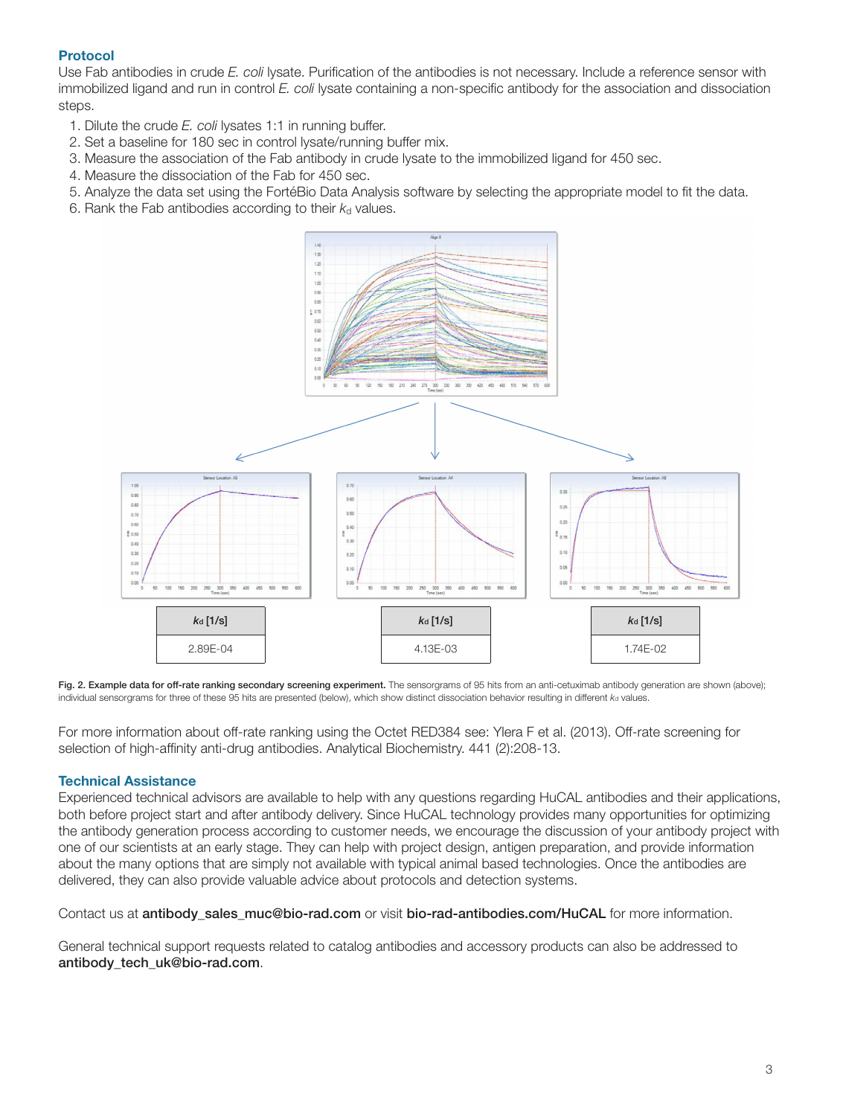## Protocol

Use Fab antibodies in crude *E. coli* lysate. Purification of the antibodies is not necessary. Include a reference sensor with immobilized ligand and run in control *E. coli* lysate containing a non-specific antibody for the association and dissociation steps.

- 1. Dilute the crude *E. coli* lysates 1:1 in running buffer.
- 2. Set a baseline for 180 sec in control lysate/running buffer mix.
- 3. Measure the association of the Fab antibody in crude lysate to the immobilized ligand for 450 sec.
- 4. Measure the dissociation of the Fab for 450 sec.
- 5. Analyze the data set using the FortéBio Data Analysis software by selecting the appropriate model to fit the data.
- 6. Rank the Fab antibodies according to their  $k_d$  values.



Fig. 2. Example data for off-rate ranking secondary screening experiment. The sensorgrams of 95 hits from an anti-cetuximab antibody generation are shown (above); individual sensorgrams for three of these 95 hits are presented (below), which show distinct dissociation behavior resulting in different  $k_d$  values.

For more information about off-rate ranking using the Octet RED384 see: Ylera F et al. (2013). Off-rate screening for selection of high-affinity anti-drug antibodies. Analytical Biochemistry. 441 (2):208-13.

## Technical Assistance

Experienced technical advisors are available to help with any questions regarding HuCAL antibodies and their applications, both before project start and after antibody delivery. Since HuCAL technology provides many opportunities for optimizing the antibody generation process according to customer needs, we encourage the discussion of your antibody project with one of our scientists at an early stage. They can help with project design, antigen preparation, and provide information about the many options that are simply not available with typical animal based technologies. Once the antibodies are delivered, they can also provide valuable advice about protocols and detection systems.

Contact us at **antibody** sales muc@bio-rad.com or visit bio-rad-antibodies.com/HuCAL for more information.

General technical support requests related to catalog antibodies and accessory products can also be addressed to antibody tech uk@bio-rad.com.